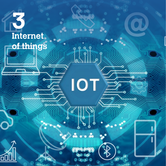# **3 Internet of things**

 $\circ$ 

 $\circ$ 

**IOT** 

 $\varphi$  $\ddot{\circ}$ 

. . .

ರ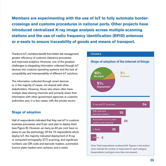**Members are experimenting with the use of IoT to fully automate bordercrossings and customs procedures in national ports. Other projects have introduced centralized X-ray image analysis across multiple scanning stations and the use of radio frequency identification (RFID) antennas or e-seals to ensure traceability of goods and means of transport.**

Thanks to IoT, members benefit from better risk management, greater efficiency of customs clearance processes and improved analytics. However, one of the greatest challenges is integrating information collected through IoT devices into customs operating systems and the lack of compatibility and interoperability of different IoT solutions.

The information collected through smart devices is, in the majority of cases, not shared with other stakeholders. However, those who share often have multiple data-sharing channels and primarily share their information with other government agencies or customs authorities and, in a few cases, with the private sector.

# **Stage of adoption**

Half of respondents indicated that they use IoT in customs business processes, and 9 per cent plan to deploy them (see Figure 8). However, as many as 40 per cent have no plans to use the technology. Of the 72 respondents which deploy IoT, the majority indicated deployment of X-ray or computed tomography (CT) scanning, and significant numbers use QR code and barcode readers, automated licence plate readers and cameras, and e-seals.



*Note:* Total respondents numbered 94. Figures in the bottom chart indicate the number of responses for each category (respondents could give more than one answer).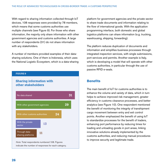With regard to sharing information collected through IoT devices, 108 responses were provided by 78 members, which means that some customs authorities use multiple channels (see Figure 9). For those who share information, the majority only share information with other government agencies and customs authorities. A large number of respondents (31) do not share information with any stakeholders.

A number of members provided examples of their datasharing solutions. One of them is Indonesia, which uses the National Logistic Ecosystem, which is a data-sharing



*Note:* Total respondents numbered 108. Figures indicate the number of responses for each category. platform for government agencies and the private sector to share trade documents and information relating to the flow of international goods. With the application programming interface, both domestic and global logistics platforms can share information (e.g. trucking, warehousing, shipping, forwarding).

The platform reduces duplication of documents and information and simplifies business processes through integrated inspection services, with single submissions, port services and permits. Another example is Italy, which is developing a model that will operate with other customs authorities, in particular through the use of passive RFID e-seals.

# **Benefits**

The main benefit of IoT for customs authorities is to enhance the volume and variety of data, which in turn helps to achieve improved risk management, greater efficiency in customs clearance processes, and better analytics (see Figure 10). One respondent mentioned the benefit of monitoring the integrity of transhipment cargo movement between entry and exit control points. Another emphasized the benefit of using IoT to standardize processes for the benefit of traders, enhancing port performance by reducing times for loading and unloading goods in port areas, linking innovative solutions already implemented by the customs authorities, and reducing manual procedures to improve security and legitimate trade.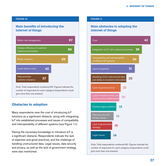#### **FIGURE 10**

# **Main benefits of introducing the internet of things**



*Note:* Total respondents numbered 83. Figures indicate the number of responses for each category (respondents could give more than one answer).

# **Obstacles to adoption**

Many respondents view the cost of introducing IoT solutions as a significant obstacle, along with integrating IoT into established processes and issues of compatibility and interoperability of different systems (see Figure 11).

Having the necessary knowledge to introduce IoT is a significant obstacle. Respondents indicate the lack of expertise and good practices, and the challenge of handling unstructured data. Legal issues, data security and privacy, as well as the lack of government strategy, were also mentioned.

#### **FIGURE 11**

# **Main obstacles to adopting the internet of things**



*Note:* Total respondents numbered 82. Figures indicate the number of responses for each category (respondents could give more than one answer).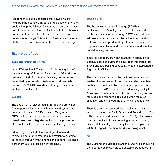Respondents also emphasized that if two or more neighbouring countries introduce IoT solutions, then they could all reap the full benefits across borders. However, not all customs authorities are familiar with the technology, nor able to introduce it; rather, there can often be resistance to change. This lack of infrastructure is another obstacle to a more profound uptake of IoT technologies.

# **Examples of use**

# **East and Southern Africa**

In the ESA region, IoT is used to facilitate acquittal of transits through QR codes. Zambia uses QR codes for online acquittal of transits. In Eswatini, the barcodes generated by Automated System for Customs Data software (ASYCUDAWorld) are already one element in place to implement IoT.

# **Europe**

The use of IoT is widespread in Europe and are either fully or partially integrated with automated systems for customs clearance. CCTV cameras, X-ray scanners, GPS tracking and licence plate readers are quite broadly used and integrated with customs processes at the national level, or even shared at the regional level.

Other projects include the use of geo-fence and telematics data for transferring information to customs authorities through smart phones and apps to recognize border arrivals (e.g. used by Switzerland).

# *Baltic States*

The Baltic X-ray Images Exchange (BAXE) is implemented by Estonia, Latvia and Lithuania, and led by the latter's customs authority. BAXE was designed to address challenges such as the lack of interoperability of X-ray scanners produced by different vendors, disparities in software and user interfaces, and a lack of unified training software.

Since its adoption, 16 X-ray scanners in operation in Estonia, Latvia and Lithuania have been integrated into BAXE and two training centres have been established in Riga and in Vilnius.

The use of a single format by the three countries has enabled the exchange of X-ray images, which are then analysed centrally in Latvia, under a pilot project started in September 2019. The specialized training facility for X-ray systems operators and the unified training software for image analysis have optimized human resource allocation and enhanced the quality of image analysis.

There is also an automated licence plate recognition system between the Baltic States and Poland, and IoT is utilized in the corridor-as-a-service (CaaS) pilot project to experiment with fully automating a border-crossing. Sensor data identify vehicles by their licence plates and GPS at a specific northern border-crossing point.

# *Italy*

The Customs and Monopolies Agency (ADM) is conducting a project to completely digitize customs procedures in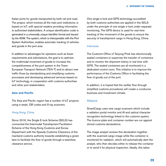Italian ports for goods transported by both rail and road. The project, which involves all the main port institutions, is based on IoT, with special readers providing information to authorized stakeholders. A unique identification code is generated in a universally unique identifier format and issued by the ADM. The system, which is interoperable with the Port System Authorities, enables automatic tracking of vehicles and goods in the port area.

In addition to advantages for operators such as fewer requirements and submissions, the goal is to optimize the multimodal movement of goods to increase the competitiveness of the port system in the Trans-European Transport Network (TEN-T) and to attract new traffic flows by standardizing and simplifying customs processes and developing advanced services based on IoT technology, in cooperation with customs authorities and other port stakeholders.

## **Asia and Pacific**

The Asia and Pacific region has a number of IoT projects using e-seals, QR codes and X-ray scanners.

## *Hong Kong, China*

Since 2016, the Single E-lock Scheme (SELS) has connected the Intermodal Transhipment Facilitation Scheme of the Hong Kong Customs and Excise Department with the Speedy Customs Clearance of the mainland customs authority towards establishing a green lane to facilitate the flow of goods through a seamless clearance service.

One single e-lock and GPS technology accredited by both customs authorities are applied in the SELS under the principle of one single e-lock under separate monitoring. The GPS device is used for real-time tracking of the movement of the goods to ensure the security of transhipment cargo in Hong Kong, China.

#### *Indonesia*

The Customs Office of Tanjung Priok has electronically sealed containers to supervise the transfer of containers and to monitor the shipment history in real time with GPS. The sealed containers are all monitored in a dedicated control room. This initiative is to improve the performance of the Customs Office in facilitating the flow of goods out of the port.

In addition, it is hoped that the swifter flow through simplified customs procedures will create a conducive business and investment climate.

#### *Malaysia*

SmartCargo uses new cargo scanners which include a radiation portal monitor and AI and optical character recognition technology linked to the customs system. The licence plate and container number are run against stored customs declarations.

The image analyst reviews this declaration together with the scanned cargo image while the container is monitored for radiation, which will automatically alert the analyst, who then decides either to release the container or to send it for physical inspection. Ideally, this takes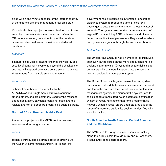place within one minute because of the interconnectivity of the different systems that generate real-time data.

Malaysia also has a project to use embedded certificate authority to authenticate a new tax stamp. When the QR code is scanned, the authenticity of the tax stamp is verified, which will lower the risk of counterfeited tax stamps.

## *Singapore*

Singapore also uses e-seals to enhance the visibility and security of container movements beyond the checkpoints, and has an integrated command centre system to analyse X-ray images from multiple scanning stations.

### *Timor-Leste*

In Timor-Leste, barcodes are built into the ASYCUDAWorld Single Administrative Document, among others, and are commonly used for the manifest, goods declaration, payments, container pass, and the release and exit of goods from controlled customs areas.

# **North of Africa, Near and Middle East**

A number of projects in the MENA region use X-ray scanners and tracking solutions.

## *Jordan*

Jordan is introducing electronic gates at airports. At the Queen Alia International Airport, in Amman, the

government has introduced an automated immigration clearance system to reduce the time it takes for a passenger to pass through immigration to just a matter of seconds. The system uses two-factor authentication of e-gate ID cards utilizing RFID technology and biometric fingerprint verification of passengers. Registered travellers can bypass immigration through the automated booths.

# *United Arab Emirates*

The United Arab Emirates has a number of IoT initiatives, such as X-raying cargo on the move and a container risk tracking platform which X-rays and monitors risks inside containers with scanners integrated into the customs risk and declaration management system.

The Dubai Customs integrated vessel tracking system uses marine traffic data to track vessels across the world and feeds the data into the internal risk and declaration management system. The marine traffic system uses IoT to collect data transmitted via an automatic identification system of receiving stations that form a marine traffic network. When a vessel enters a remote area out of the range of a receiving station, its position is identified with satellite tracking.

# **South America, North America, Central America and the Caribbean**

The AMS uses IoT for goods inspection and tracking along the supply chain through X-ray and CT scanners, e-seals and licence plate readers.